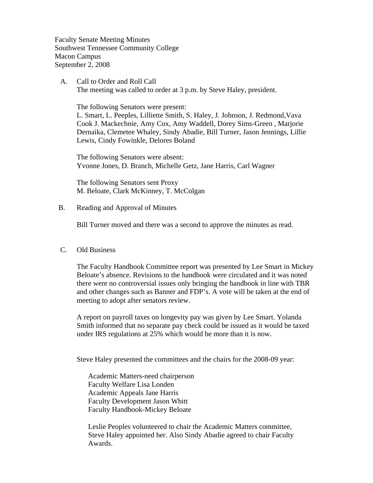Faculty Senate Meeting Minutes Southwest Tennessee Community College Macon Campus September 2, 2008

 A. Call to Order and Roll Call The meeting was called to order at 3 p.m. by Steve Haley, president.

The following Senators were present:

L. Smart, L. Peeples, Lilliette Smith, S. Haley, J. Johnson, J. Redmond,Vava Cook J. Mackechnie, Amy Cox, Amy Waddell, Dorey Sims-Green , Marjorie Dernaika, Clemetee Whaley, Sindy Abadie, Bill Turner, Jason Jennings, Lillie Lewis, Cindy Fowinkle, Delores Boland

The following Senators were absent: Yvonne Jones, D. Branch, Michelle Getz, Jane Harris, Carl Wagner

The following Senators sent Proxy M. Beloate, Clark McKinney, T. McColgan

## B. Reading and Approval of Minutes

Bill Turner moved and there was a second to approve the minutes as read.

## C. Old Business

The Faculty Handbook Committee report was presented by Lee Smart in Mickey Beloate's absence. Revisions to the handbook were circulated and it was noted there were no controversial issues only bringing the handbook in line with TBR and other changes such as Banner and FDP's. A vote will be taken at the end of meeting to adopt after senators review.

A report on payroll taxes on longevity pay was given by Lee Smart. Yolanda Smith informed that no separate pay check could be issued as it would be taxed under IRS regulations at 25% which would be more than it is now.

Steve Haley presented the committees and the chairs for the 2008-09 year:

Academic Matters-need chairperson Faculty Welfare Lisa Londen Academic Appeals Jane Harris Faculty Development Jason Whitt Faculty Handbook-Mickey Beloate

Leslie Peoples volunteered to chair the Academic Matters committee, Steve Haley appointed her. Also Sindy Abadie agreed to chair Faculty Awards.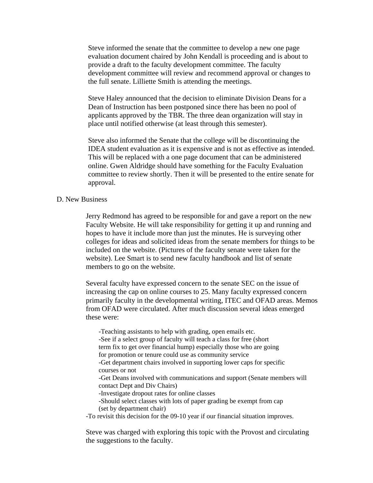Steve informed the senate that the committee to develop a new one page evaluation document chaired by John Kendall is proceeding and is about to provide a draft to the faculty development committee. The faculty development committee will review and recommend approval or changes to the full senate. Lilliette Smith is attending the meetings.

Steve Haley announced that the decision to eliminate Division Deans for a Dean of Instruction has been postponed since there has been no pool of applicants approved by the TBR. The three dean organization will stay in place until notified otherwise (at least through this semester).

Steve also informed the Senate that the college will be discontinuing the IDEA student evaluation as it is expensive and is not as effective as intended. This will be replaced with a one page document that can be administered online. Gwen Aldridge should have something for the Faculty Evaluation committee to review shortly. Then it will be presented to the entire senate for approval.

## D. New Business

Jerry Redmond has agreed to be responsible for and gave a report on the new Faculty Website. He will take responsibility for getting it up and running and hopes to have it include more than just the minutes. He is surveying other colleges for ideas and solicited ideas from the senate members for things to be included on the website. (Pictures of the faculty senate were taken for the website). Lee Smart is to send new faculty handbook and list of senate members to go on the website.

Several faculty have expressed concern to the senate SEC on the issue of increasing the cap on online courses to 25. Many faculty expressed concern primarily faculty in the developmental writing, ITEC and OFAD areas. Memos from OFAD were circulated. After much discussion several ideas emerged these were:

-Teaching assistants to help with grading, open emails etc. -See if a select group of faculty will teach a class for free (short term fix to get over financial hump) especially those who are going for promotion or tenure could use as community service -Get department chairs involved in supporting lower caps for specific courses or not -Get Deans involved with communications and support (Senate members will contact Dept and Div Chairs) -Investigate dropout rates for online classes -Should select classes with lots of paper grading be exempt from cap (set by department chair)

-To revisit this decision for the 09-10 year if our financial situation improves.

Steve was charged with exploring this topic with the Provost and circulating the suggestions to the faculty.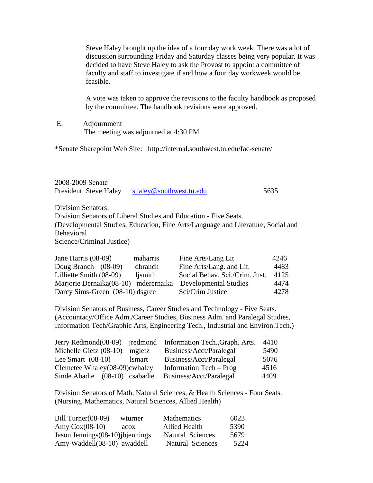Steve Haley brought up the idea of a four day work week. There was a lot of discussion surrounding Friday and Saturday classes being very popular. It was decided to have Steve Haley to ask the Provost to appoint a committee of faculty and staff to investigate if and how a four day workweek would be feasible.

A vote was taken to approve the revisions to the faculty handbook as proposed by the committee. The handbook revisions were approved.

 E. Adjournment The meeting was adjourned at 4:30 PM

\*Senate Sharepoint Web Site: http://internal.southwest.tn.edu/fac-senate/

| 2008-2009 Senate       |                         |      |
|------------------------|-------------------------|------|
| President: Steve Haley | shaley@southwest.tn.edu | 5635 |

Division Senators: Division Senators of Liberal Studies and Education - Five Seats. (Developmental Studies, Education, Fine Arts/Language and Literature, Social and Behavioral Science/Criminal Justice)

| Jane Harris (08-09)                                        | maharris | Fine Arts/Lang Lit             | 4246 |
|------------------------------------------------------------|----------|--------------------------------|------|
| Doug Branch $(08-09)$                                      | dbranch  | Fine Arts/Lang. and Lit.       | 4483 |
| Lilliette Smith (08-09)                                    | ljsmith  | Social Behav. Sci./Crim. Just. | 4125 |
| Marjorie Dernaika(08-10) mderernaika Developmental Studies |          |                                | 4474 |
| Darcy Sims-Green (08-10) dsgree                            |          | Sci/Crim Justice               | 4278 |

Division Senators of Business, Career Studies and Technology - Five Seats. (Accountacy/Office Adm./Career Studies, Business Adm. and Paralegal Studies, Information Tech/Graphic Arts, Engineering Tech., Industrial and Environ.Tech.)

|                               |               | Jerry Redmond(08-09) jredmond Information Tech., Graph. Arts. | 4410 |
|-------------------------------|---------------|---------------------------------------------------------------|------|
| Michelle Gietz (08-10)        | mgietz        | Business/Acct/Paralegal                                       | 5490 |
| Lee Smart $(08-10)$           | <i>lsmart</i> | Business/Acct/Paralegal                                       | 5076 |
| Clemetee Whaley(08-09)cwhaley |               | Information Tech – Prog                                       | 4516 |
| Sinde Abadie (08-10) csabadie |               | Business/Acct/Paralegal                                       | 4409 |

Division Senators of Math, Natural Sciences, & Health Sciences - Four Seats. (Nursing, Mathematics, Natural Sciences, Allied Health)

| Bill Turner $(08-09)$             | wturner | <b>Mathematics</b>   | 6023 |
|-----------------------------------|---------|----------------------|------|
| Amy $Cox(08-10)$                  | acox    | <b>Allied Health</b> | 5390 |
| Jason Jennings (08-10) jbjennings |         | Natural Sciences     | 5679 |
| Amy Waddell(08-10) awaddell       |         | Natural Sciences     | 5224 |